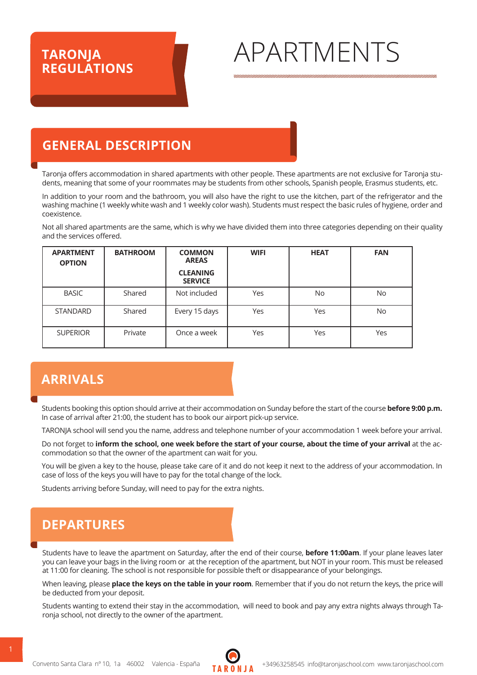## **TARONJA<br>REGULATIONS**

# **TARONJA** APARTMENTS

## **GENERAL DESCRIPTION**

Taronja offers accommodation in shared apartments with other people. These apartments are not exclusive for Taronja students, meaning that some of your roommates may be students from other schools, Spanish people, Erasmus students, etc.

In addition to your room and the bathroom, you will also have the right to use the kitchen, part of the refrigerator and the washing machine (1 weekly white wash and 1 weekly color wash). Students must respect the basic rules of hygiene, order and coexistence.

Not all shared apartments are the same, which is why we have divided them into three categories depending on their quality and the services offered.

| <b>APARTMENT</b><br><b>OPTION</b> | <b>BATHROOM</b> | <b>COMMON</b><br><b>AREAS</b>     | <b>WIFI</b> | <b>HEAT</b> | <b>FAN</b> |
|-----------------------------------|-----------------|-----------------------------------|-------------|-------------|------------|
|                                   |                 | <b>CLEANING</b><br><b>SERVICE</b> |             |             |            |
| <b>BASIC</b>                      | Shared          | Not included                      | Yes         | <b>No</b>   | <b>No</b>  |
| <b>STANDARD</b>                   | Shared          | Every 15 days                     | Yes         | Yes         | <b>No</b>  |
| <b>SUPERIOR</b>                   | Private         | Once a week                       | Yes         | Yes         | Yes        |

### **ARRIVALS**

Students booking this option should arrive at their accommodation on Sunday before the start of the course **before 9:00 p.m.**  In case of arrival after 21:00, the student has to book our airport pick-up service.

TARONJA school will send you the name, address and telephone number of your accommodation 1 week before your arrival.

Do not forget to inform the school, one week before the start of your course, about the time of your arrival at the accommodation so that the owner of the apartment can wait for you.

You will be given a key to the house, please take care of it and do not keep it next to the address of your accommodation. In case of loss of the keys you will have to pay for the total change of the lock.

Students arriving before Sunday, will need to pay for the extra nights.

## **DEPARTURES**

Students have to leave the apartment on Saturday, after the end of their course, **before 11:00am**. If your plane leaves later you can leave your bags in the living room or at the reception of the apartment, but NOT in your room. This must be released at 11:00 for cleaning. The school is not responsible for possible theft or disappearance of your belongings.

When leaving, please **place the keys on the table in your room**. Remember that if you do not return the keys, the price will be deducted from your deposit.

Students wanting to extend their stay in the accommodation, will need to book and pay any extra nights always through Taronja school, not directly to the owner of the apartment.